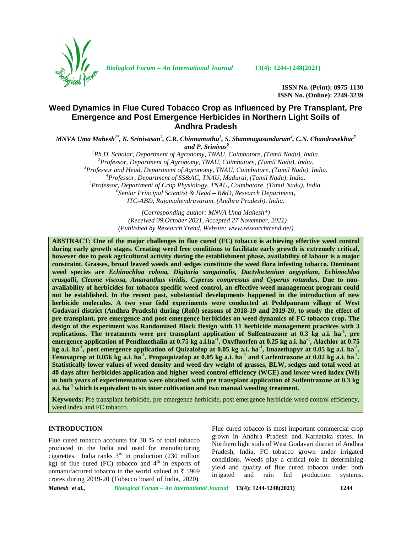

*Biological Forum – An International Journal* **13(4): 1244-1248(2021)**

**ISSN No. (Print): 0975-1130 ISSN No. (Online): 2249-3239**

# **Weed Dynamics in Flue Cured Tobacco Crop as Influenced by Pre Transplant, Pre Emergence and Post Emergence Herbicides in Northern Light Soils of Andhra Pradesh**

 $MNVA$  Uma Mahesh<sup>1\*</sup>, K. Srinivasan<sup>2</sup>, C.R. Chinnamuthu<sup>3</sup>, S. Shanmugasundaram<sup>4</sup>, C.N. Chandrasekhar<sup>5</sup> and P. Srinivas<sup>6</sup><br><sup>1</sup>Ph.D. Scholar, Department of Agronomy, TNAU, Coimbatore, (Tamil Nadu), India.

<sup>2</sup>Professor, Department of Agronomy, TNAU, Coimbatore, (Tamil Nadu), India.<br><sup>3</sup>Professor and Head, Department of Agronomy, TNAU, Coimbatore, (Tamil Nadu), India.<br><sup>4</sup>Professor, Department of SS&AC, TNAU, Madurai, (Tamil N *ITC-ABD, Rajamahendravaram, (Andhra Pradesh), India.*

> *(Corresponding author: MNVA Uma Mahesh\*) (Received 09 October 2021, Accepted 27 November, 2021) (Published by Research Trend, Website: [www.researchtrend.net\)](www.researchtrend.net)*

**ABSTRACT: One of the major challenges in flue cured (FC) tobacco is achieving effective weed control during early growth stages. Creating weed free conditions to facilitate early growth is extremely critical, however due to peak agricultural activity during the establishment phase, availability of labour is a major constraint. Grasses, broad leaved weeds and sedges constitute the weed flora infesting tobacco. Dominant weed species are** *Echinochloa colona, Digitaria sanguinalis, Dactyloctenium aegyptium***,** *Echinochloa crusgalli***,** *Cleome viscosa, Amaranthus viridis, Cyperus compressus and Cyperus rotundus***. Due to non availability of herbicides for tobacco specific weed control, an effective weed management program could not be established. In the recent past, substantial developments happened in the introduction of new herbicide molecules. A two year field experiments were conducted at Peddpauram village of West Godavari district (Andhra Pradesh) during (***Rabi***) seasons of 2018-19 and 2019-20, to study the effect of pre transplant, pre emergence and post emergence herbicides on weed dynamics of FC tobacco crop. The design of the experiment was Randomized Block Design with 11 herbicide management practices with 3 replications. The treatments were pre transplant application of Sulfentrazone at 0.3 kg a.i. ha-1 , pre emergence application of Pendimethalin at 0.75 kg a.i.ha-1 , Oxyfluorfen at 0.25 kg a.i. ha-1 , Alachlor at 0.75 kg a.i. ha-1 , post emergence application of Quizalofop at 0.05 kg a.i. ha-1 , Imazethapyr at 0.05 kg a.i. ha-1 , Fenoxaprop at 0.056 kg a.i. ha-1 , Propaquizafop at 0.05 kg a.i. ha-1 and Carfentrazone at 0.02 kg a.i. ha-1 . Statistically lower values of weed density and weed dry weight of grasses, BLW, sedges and total weed at 40 days after herbicides application and higher weed control efficiency (WCE) and lower weed index (WI) in both years of experimentation were obtained with pre transplant application of Sulfentrazone at 0.3 kg a.i. ha-1 which is equivalent to six inter cultivation and two manual weeding treatment.**

**Keywords:** Pre transplant herbicide, pre emergence herbicide, post emergence herbicide weed control efficiency, weed index and FC tobacco.

### **INTRODUCTION**

Flue cured tobacco accounts for 30 % of total tobacco produced in the India and used for manufacturing cigarettes. India ranks  $3<sup>rd</sup>$  in production (230 million kg) of flue cured (FC) tobacco and  $4<sup>th</sup>$  in exports of unmanufactured tobacco in the world valued at  $\bar{z}$  5969  $\frac{\text{yred}}{\text{irrigated}}$ crores during 2019-20 (Tobacco board of India, 2020).

Flue cured tobacco is most important commercial crop grown in Andhra Pradesh and Karnataka states. In Northern light soils of West Godavari district of Andhra Pradesh, India, FC tobacco grown under irrigated conditions. Weeds play a critical role in determining yield and quality of flue cured tobacco under both and rain fed production systems.

*Mahesh et al., Biological Forum – An International Journal* **13(4): 1244-1248(2021) 1244**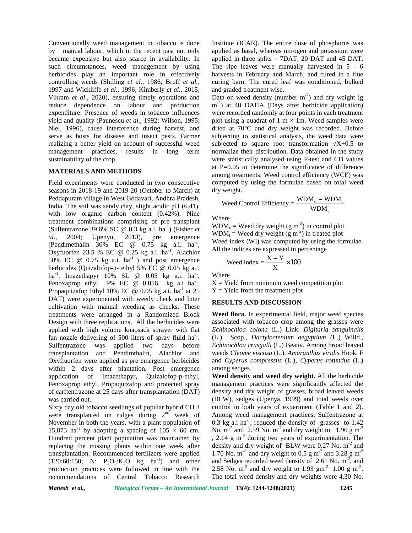Conventionally weed management in tobacco is done by manual labour, which in the recent past not only became expensive but also scarce in availability. In such circumstances, weed management by using herbicides play an important role in effectively controlling weeds (Shilling *et al.*, 1986; Bruff *et al.*, 1997 and Wickliffe *et al.,* 1996; Kimberly *et al.,* 2015; Vikram *et al*., 2020), ensuring timely operations and reduce dependence on labour and production expenditure. Presence of weeds in tobacco influences yield and quality (Paunescu *et al.,* 1992; Wilson, 1995; Niel, 1996), cause interference during harvest, and serve as hosts for disease and insect pests. Farmer realizing a better yield on account of successful weed management practices, results in long term sustainability of the crop.

### **MATERIALS AND METHODS**

Field experiments were conducted in two consecutive seasons in 2018-19 and 2019-20 (October to March) at dry weight. Peddapuram village in West Godavari, Andhra Pradesh, India. The soil was sandy clay, slight acidic pH (6.41), with low organic carbon content (0.42%). Nine treatment combinations comprising of pre transplant (Sulfentrazone 39.6% SC  $\omega$  0.3 kg a.i. ha<sup>-1</sup>) (Fisher *et*) *al.,* 2004; Upenyu, 2013), pre emergence (Pendimethalin  $30\%$  EC @  $0.75$  kg a.i. ha<sup>-1</sup>, Oxyfuorfen 23.5 % EC @ 0.25 kg a.i. ha<sup>-1</sup>, Alachlor  $\overline{A}$ 50% EC  $\omega$  0.75 kg a.i. ha<sup>-1</sup> ) and post emergence herbicides (Quizalofop-p- ethyl 5% EC @ 0.05 kg a.i. ha<sup>-1</sup>, Imazethapyr 10% SL @ 0.05 kg a.i. ha<sup>-1</sup>, , Fenoxaprop ethyl 9% EC @ 0.056 kg a.i ha<sup>-1</sup>, , Propaquizafop Ethyl 10% EC @ 0.05 kg a.i. ha<sup>-1</sup> at 25 DAT) were experimented with weedy check and Inter cultivation with manual weeding as checks. These treatments were arranged in a Randomized Block Design with three replications. All the herbicides were applied with high volume knapsack sprayer with flat fan nozzle delivering of 500 liters of spray fluid  $ha^{-1}$ . ( Sulfentrazone was applied two days before transplantation and Pendimthalin, Alachlor and Oxyfluorfen were applied as pre emergence herbicides within 2 days after plantation. Post emergence application of Imazethapyr, Quizalofop-p-ethyl, Fenoxaprop ethyl, Propaquizafop and protected spray of carftentrazone at 25 days after transplantation (DAT) was carried out.

Sixty day old tobacco seedlings of popular hybrid CH 3 were transplanted on ridges during  $2<sup>nd</sup>$  week of A November in both the years, with a plant population of 15,873 ha<sup>-1</sup> by adopting a spacing of  $105 \times 60$  cm. Hundred percent plant population was maintained by replacing the missing plants within one week after transplantation. Recommended fertilizers were applied  $(120:60:150; \nN: P_2O_5:K_2O$  kg ha<sup>-1</sup>) and other production practices were followed in line with the recommendations of Central Tobacco Research

Institute (ICAR). The entire dose of phosphorus was applied as basal, whereas nitrogen and potassium were applied in three splits – 7DAT, 20 DAT and 45 DAT. The ripe leaves were manually harvested in 5 - 6 harvests in February and March, and cured in a flue curing barn. The cured leaf was conditioned, bulked and graded treatment wise.

Data on weed density (number  $m<sup>-2</sup>$ ) and dry weight (g m<sup>-2</sup>) at 40 DAHA (Days after herbicide application) were recorded randomly at four points in each treatment plot using a quadrat of 1 m  $\times$  1m. Weed samples were dried at 70°C and dry weight was recorded. Before subjecting to statistical analysis, the weed data were subjected to square root transformation  $X+0.5$  to normalize their distribution. Data obtained in the study were statistically analysed using F-test and CD values at P=0.05 to determine the significance of difference among treatments. Weed control efficiency (WCE) was computed by using the formulae based on total weed Institute (ICAR). The entire dose of phosphorus was<br>applied as basal, whereas nitrogen and potassium were<br>applied in three splits – 7DAT, 20 DAT and 45 DAT.<br>The ripe leaves were manually harvested in 5 - 6<br>harvests in Feb on weed density (number m<sup>-</sup>) and dry weight (g<br>at 40 DAHA (Days after herbicide application)<br>recorded randomly at four points in each treatment<br>sing a quadrat of 1 m × 1m. Weed samples were<br>at 70<sup>C</sup> and dry weight was re

Weed Control Efficiency = 
$$
\frac{\text{WDM}_c - \text{WDM}_t}{\text{WDM}_c}
$$

Where

 $WDM_c = Weed$  dry weight (g m<sup>-2</sup>) in control plot  $WDM_t = Weed$  dry weight (g m<sup>-2</sup>) in treated plot Weed index (WI) was computed by using the formulae. All the indices are expressed in percentage

$$
Weed index = \frac{X - Y}{X} \times 100
$$

Where

 $X =$  Yield from minimum weed competition plot  $Y = Yield$  from the treatment plot

# **RESULTS AND DISCUSSION**

**Weed flora.** In experimental field, major weed species associated with tobacco crop among the grasses were *Echinochloa colona* (L.) Link. *Digitaria sanguinalis* (L.) Scop., *Dactyloctenium aegyptium* (L.) Willd., *Echinochloa crusgalli* (L.) Beauv. Among broad leaved weeds *Cleome viscosa* (L.), *Amaranthus viridis* Hook. F and *Cyperus compressus* (L.), *Cyperus rotundus* (L.) among sedges.

**Weed density and weed dry weight.** All the herbicide management practices were significantly affected the density and dry weight of grasses, broad leaved weeds (BLW), sedges (Upenya, 1999) and total weeds over control in both years of experiment (Table 1 and 2). Among weed management practices, Sulfentrazone at  $0.3 \text{ kg}$  a.i ha<sup>-1</sup>, reduced the density of grasses to 1.42 No.  $m^{-2}$  and 2.59 No.  $m^{-2}$  and dry weight to 1.96 g m<sup>-2</sup> , 2.14 g m-2 during two years of experimentation. The density and dry weight of BLW were 0.27 No. m<sup>-2</sup> and 1.70 No.  $m<sup>2</sup>$  and dry weight to 0.5 g m<sup>-2</sup> and 3.28 g m<sup>-2</sup> and Sedges recorded weed density of  $2.61$  No.  $m<sup>-2</sup>$ , and 2.58 No.  $m^{-2}$  and dry weight to 1.93 gm<sup>-2</sup> 1.00 g m<sup>-2</sup>. The total weed density and dry weights were 4.30 No.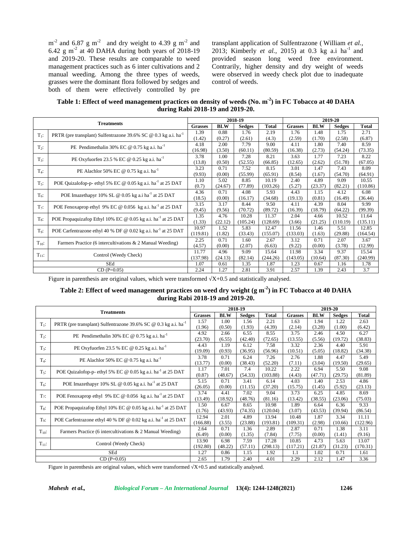$m<sup>-2</sup>$  and 6.87 g m<sup>-2</sup> and dry weight to 4.39 g m<sup>-2</sup> and trans  $6.42$  g m<sup>-2</sup> at 40 DAHA during both years of 2018-19 and 2019-20. These results are comparable to weed management practices such as 6 inter cultivations and 2 manual weeding. Among the three types of weeds, grasses were the dominant flora followed by sedges and both of them were effectively controlled by pre

transplant application of Sulfentrazone ( William *et al.,* 2013; Kimberly *et al.*, 2015) at 0.3 kg a.i ha<sup>-1</sup> and provided season long weed free environment. Contrarily, higher density and dry weight of weeds were observed in weedy check plot due to inadequate control of weeds.

**Table 1: Effect of weed management practices on density of weeds (No. m-2) in FC Tobacco at 40 DAHA during Rabi 2018-19 and 2019-20.**

| <b>Treatments</b> |                                                                                    | 2018-19        |            |               |              | 2019-20        |            |               |              |  |
|-------------------|------------------------------------------------------------------------------------|----------------|------------|---------------|--------------|----------------|------------|---------------|--------------|--|
|                   |                                                                                    | <b>Grasses</b> | <b>BLW</b> | <b>Sedges</b> | <b>Total</b> | <b>Grasses</b> | <b>BLW</b> | <b>Sedges</b> | <b>Total</b> |  |
| $T_1$ :           | PRTR (pre transplant) Sulfentrazone 39.6% SC $\omega$ 0.3 kg a.i. ha <sup>-1</sup> | 1.39           | 0.88       | 1.76          | 2.19         | 1.76           | 1.48       | 1.75          | 2.71         |  |
|                   |                                                                                    | (1.42)         | (0.27)     | (2.61)        | (4.3)        | (2.59)         | (1.70)     | (2.58)        | (6.87)       |  |
| $T_2$ :           | PE Pendimethalin 30% EC @ 0.75 kg a.i. ha <sup>-1</sup>                            | 4.18           | 2.00       | 7.79          | 9.00         | 4.11           | 1.80       | 7.40          | 8.59         |  |
|                   |                                                                                    | (16.98)        | (3.50)     | (60.11)       | (80.59)      | (16.38)        | (2.73)     | (54.24)       | (73.35)      |  |
| $T_{3}$ :         | PE Oxyfuorfen 23.5 % EC @ $0.25$ kg a.i. ha <sup>-1</sup>                          | 3.78           | 1.00       | 7.28          | 8.21         | 3.63           | 1.77       | 7.23          | 8.22         |  |
|                   |                                                                                    | (13.8)         | (0.50)     | (52.55)       | (66.85)      | (12.65)        | (2.62)     | (51.78)       | (67.05)      |  |
| $T_4$ :           | PE Alachlor 50% EC @ 0.75 kg a.i. ha <sup>-1</sup>                                 | 3.23           | 0.71       | 7.52          | 8.15         | 3.01           | 1.47       | 7.43          | 8.09         |  |
|                   |                                                                                    | (9.93)         | (0.00)     | (55.99)       | (65.91)      | (8.54)         | (1.67)     | (54.70)       | (64.91)      |  |
| $T5$ :            | POE Quizalofop-p- ethyl 5% EC @ 0.05 kg a.i. ha <sup>-1</sup> at 25 DAT            | 1.10           | 5.02       | 8.85          | 10.19        | 2.40           | 4.89       | 9.09          | 10.55        |  |
|                   |                                                                                    | (0.7)          | (24.67)    | (77.89)       | (103.26)     | (5.27)         | (23.37)    | (82.21)       | (110.86)     |  |
| $T_6$ :           | POE Imazethapyr 10% SL @ 0.05 kg a.i ha <sup>-1</sup> at 25 DAT                    | 4.36           | 0.71       | 4.08          | 5.93         | 4.43           | 1.15       | 4.12          | 6.08         |  |
|                   |                                                                                    | (18.5)         | (0.00)     | (16.17)       | (34.68)      | (19.13)        | (0.81)     | (16.49)       | (36.44)      |  |
| $T7$ :            | POE Fenoxaprop ethyl 9% EC @ 0.056 kg a.i. ha <sup>-1</sup> at 25 DAT              | 3.15           | 3.17       | 8.44          | 9.50         | 4.11           | 4.39       | 8.04          | 9.99         |  |
|                   |                                                                                    | (9.45)         | (9.56)     | (70.72)       | (89.72)      | (16.39)        | (18.79)    | (64.22)       | (99.39)      |  |
| $T_8$ :           | POE Propaquizafop Ethyl 10% EC @ 0.05 kg a.i. ha <sup>-1</sup> at 25 DAT           | 1.35           | 4.76       | 10.28         | 11.37        | 2.04           | 4.66       | 10.52         | 11.64        |  |
|                   |                                                                                    | (1.33)         | (22.12)    | (105.24)      | (128.69)     | (3.66)         | (21.25)    | (110.19)      | (135.11)     |  |
| To:               | POE Carfentrazone ethyl 40 % DF @ 0.02 kg a.i. ha <sup>-1</sup> at 25 DAT          | 10.97          | 1.52       | 5.83          | 12.47        | 11.56          | 1.46       | 5.51          | 12.85        |  |
|                   |                                                                                    | (119.81)       | (1.82)     | (33.43)       | (155.07)     | (133.03)       | (1.63)     | (29.88)       | (164.54)     |  |
| $T_{10}$ :        | Farmers Practice (6 intercultivations & 2 Manual Weeding)                          | 2.25           | 0.71       | 1.60          | 2.67         | 3.12           | 0.71       | 2.07          | 3.67         |  |
|                   |                                                                                    | (4.57)         | (0.00)     | (2.07)        | (6.63)       | (9.22)         | (0.00)     | (3.78)        | (12.99)      |  |
| $T_{11}$ :        |                                                                                    | 11.77          | 4.96       | 9.09          | 15.64        | 11.98          | 3.34       | 9.37          | 15.54        |  |
|                   | Control (Weedy Check)                                                              |                | (24.13)    | (82.14)       | (244.26)     | (143.05)       | (10.64)    | (87.30)       | (240.99)     |  |
|                   | SEd                                                                                |                | 0.61       | 1.35          | 1.87         | 1.23           | 0.67       | 1.16          | 1.78         |  |
| $CD(P=0.05)$      |                                                                                    | 2.24           | 1.27       | 2.81          | 3.91         | 2.57           | 1.39       | 2.43          | 3.7          |  |

Figure in parenthesis are original values, which were transformed  $X+0.5$  and statistically analysed.

# **Table 2: Effect of weed management practices on weed dry weight (g m-2) in FC Tobacco at 40 DAHA during Rabi 2018-19 and 2019-20.**

|                  |                                                                             | 2018-19  |            |               |              | 2019-20        |            |               |          |  |
|------------------|-----------------------------------------------------------------------------|----------|------------|---------------|--------------|----------------|------------|---------------|----------|--|
|                  | <b>Treatments</b>                                                           |          | <b>BLW</b> | <b>Sedges</b> | <b>Total</b> | <b>Grasses</b> | <b>BLW</b> | <b>Sedges</b> | Total    |  |
| $T_1$ :          | PRTR (pre transplant) Sulfentrazone 39.6% SC @ 0.3 kg a.i. ha <sup>-1</sup> | 1.57     | 1.00       | 1.56          | 2.21         | 1.63           | 1.94       | 1.22          | 2.63     |  |
|                  |                                                                             | (1.96)   | (0.50)     | (1.93)        | (4.39)       | (2.14)         | (3.28)     | (1.00)        | (6.42)   |  |
| $T2$ :           | PE Pendimethalin 30% EC @ 0.75 kg a.i. ha <sup>-1</sup>                     | 4.92     | 2.66       | 6.55          | 8.55         | 3.75           | 2.46       | 4.50          | 6.27     |  |
|                  |                                                                             | (23.70)  | (6.55)     | (42.40)       | (72.65)      | (13.55)        | (5.56)     | (19.72)       | (38.83)  |  |
| $T_3$ :          | PE Oxyfuorfen 23.5 % EC @ $0.25$ kg a.i. ha <sup>-1</sup>                   | 4.43     | 1.19       | 6.12          | 7.58         | 3.32           | 2.36       | 4.40          | 5.91     |  |
|                  |                                                                             | (19.09)  | (0.93)     | (36.95)       | (56.96)      | (10.51)        | (5.05)     | (18.82)       | (34.38)  |  |
| $T_4$ :          | PE Alachlor 50% EC @ 0.75 kg a.i. ha <sup>-1</sup>                          | 3.78     | 0.71       | 6.24          | 7.26         | 2.76           | 1.88       | 4.47          | 5.49     |  |
|                  |                                                                             | (13.77)  | (0.00)     | (38.43)       | (52.20)      | (7.11)         | (3.04)     | (19.50)       | (29.65)  |  |
| $T_{5}$ :        | POE Quizalofop-p- ethyl 5% EC @ 0.05 kg a.i. ha <sup>-1</sup> at 25 DAT     | 1.17     | 7.01       | 7.4           | 10.22        | 2.22           | 6.94       | 5.50          | 9.08     |  |
|                  |                                                                             | (0.87)   | (48.67)    | (54.33)       | (103.88)     | (4.43)         | (47.71)    | (29.75)       | (81.89)  |  |
| $T_6$ :          | POE Imazethapyr 10% SL @ 0.05 kg a.i. ha <sup>-1</sup> at 25 DAT            | 5.15     | 0.71       | 3.41          | 6.14         | 4.03           | 1.40       | 2.53          | 4.86     |  |
|                  |                                                                             | (26.05)  | (0.00)     | (11.15)       | (37.20)      | (15.75)        | (1.45)     | (5.92)        | (23.13)  |  |
| $T_7$ :          | POE Fenoxaprop ethyl 9% EC @ 0.056 kg a.i. ha <sup>-1</sup> at 25 DAT       | 3.74     | 4.41       | 7.02          | 9.04         | 3.73           | 6.25       | 4.85          | 8.69     |  |
|                  |                                                                             | (13.49)  | (18.92)    | (48.76)       | (81.16)      | (13.42)        | (38.55)    | (23.06)       | (75.03)  |  |
| $T_8$ :          | POE Propaquizafop Ethyl 10% EC @ 0.05 kg a.i. ha <sup>-1</sup> at 25 DAT    | 1.50     | 6.67       | 8.65          | 10.98        | 1.89           | 6.64       | 6.36          | 9.33     |  |
|                  |                                                                             | (1.76)   | (43.93)    | (74.35)       | (120.04)     | (3.07)         | (43.53)    | (39.94)       | (86.54)  |  |
| T <sub>o</sub> : | POE Carfentrazone ethyl 40 % DF @ 0.02 kg a.i. ha <sup>-1</sup> at 25 DAT   | 12.94    | 2.01       | 4.89          | 13.94        | 10.48          | 1.87       | 3.34          | 11.11    |  |
|                  |                                                                             | (166.88) | (3.55)     | (23.88)       | (193.81)     | (109.31)       | (2.98)     | (10.66)       | (122.96) |  |
| $T_{10}$ :       | Farmers Practice (6 intercultivations & 2 Manual Weeding)                   | 2.64     | 0.71       | 1.36          | 2.89         | 2.87           | 0.71       | 1.38          | 3.11     |  |
|                  |                                                                             | (6.49)   | (0.00)     | (1.35)        | (7.84)       | (7.75)         | (0.00)     | (1.41)        | (9.16)   |  |
| $T_{11}$ :       | Control (Weedy Check)                                                       | 13.90    | 6.98       | 7.59          | 17.28        | 10.85          | 4.73       | 5.63          | 13.07    |  |
|                  |                                                                             | (192.80) | (48.22)    | (57.11)       | (298.13)     | (117.21)       | (21.87)    | (31.23)       | (170.31) |  |
| SEd              |                                                                             | 1.27     | 0.86       | 1.15          | 1.92         | 1.1            | 1.02       | 0.71          | 1.61     |  |
| $CD(P=0.05)$     |                                                                             | 2.65     | 1.79       | 2.40          | 4.01         | 2.29           | 2.12       | 1.47          | 3.36     |  |

Figure in parenthesis are original values, which were transformed  $X+0.5$  and statistically analysed.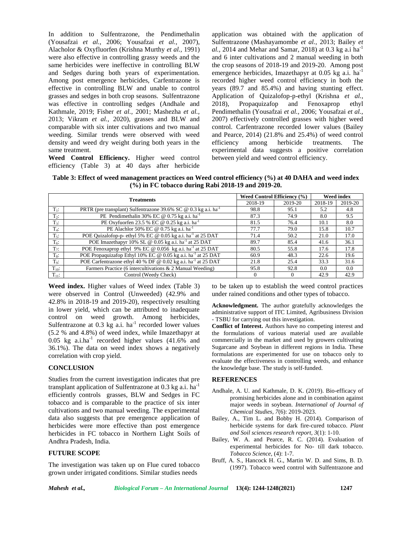In addition to Sulfentrazone, the Pendimethalin (Yousafzai *et al.,* 2006; Yousafzai *et al.,* 2007), Alacholor & Oxyfluorfen (Krishna Murthy *et al.,* 1991) were also effective in controlling grassy weeds and the same herbicides were ineffective in controlling BLW and Sedges during both years of experimentation. Among post emergence herbicides, Carfentrazone is effective in controlling BLW and unable to control grasses and sedges in both crop seasons. Sulfentrazone was effective in controlling sedges (Andhale and 2018), Kathmale, 2019; Fisher *et al.,* 2001; Mashezha *et al.,* 2013; Vikram *et al.,* 2020), grasses and BLW and comparable with six inter cultivations and two manual weeding. Similar trends were observed with weed density and weed dry weight during both years in the same treatment.

**Weed Control Efficiency.** Higher weed control efficiency (Table 3) at 40 days after herbicide

application was obtained with the application of Sulfentrazone (Mashayamombe *et al.,* 2013; Bailey *et* al., 2014 and Mehar and Samar, 2018) at 0.3 kg a.i ha<sup>-1</sup> and 6 inter cultivations and 2 manual weeding in both the crop seasons of 2018-19 and 2019-20. Among post emergence herbicides, Imazethapyr at  $0.05$  kg a.i. ha<sup>-1</sup> recorded higher weed control efficiency in both the years (89.7 and 85.4%) and having stunting effect. Application of Quizalofop-p-ethyl (Krishna *et al.,* Propaquizafop and Fenoxaprop ethyl Pendimethalin (Yousafzai *et al.,* 2006; Yousafzai *et al.,* 2007) effectively controlled grasses with higher weed control. Carfentrazone recorded lower values (Bailey and Pearce, 2014) (21.8% and 25.4%) of weed control among herbicide treatments. The experimental data suggests a positive correlation between yield and weed control efficiency.

**Table 3: Effect of weed management practices on Weed control efficiency (%) at 40 DAHA and weed index (%) in FC tobacco during Rabi 2018-19 and 2019-20.**

| <b>Treatments</b> |                                                                             | Weed Control Efficiency (%) |         | <b>Weed index</b> |         |
|-------------------|-----------------------------------------------------------------------------|-----------------------------|---------|-------------------|---------|
|                   |                                                                             | 2018-19                     | 2019-20 | 2018-19           | 2019-20 |
| $T_1$ :           | PRTR (pre transplant) Sulfentrazone 39.6% SC @ 0.3 kg a.i. ha <sup>-1</sup> | 98.8                        | 95.1    | 5.2               | 4.8     |
| $T_2$ :           | PE Pendimethalin 30% EC @ 0.75 kg a.i. ha <sup>-1</sup>                     | 87.3                        | 74.9    | 8.0               | 9.5     |
| $T_3$ :           | PE Oxyfuorfen 23.5 % EC @ 0.25 kg a.i. ha <sup>-1</sup>                     | 81.5                        | 76.4    | 10.1              | 8.0     |
| $T_4$ :           | PE Alachlor 50% EC @ 0.75 kg a.i. ha <sup>-1</sup>                          | 77.7                        | 79.0    | 15.8              | 10.7    |
| $T_5$ :           | POE Quizalofop-p-ethyl 5% EC @ 0.05 kg a.i. ha <sup>-1</sup> at 25 DAT      | 71.4                        | 50.2    | 21.0              | 17.0    |
| $T_6$ :           | POE Imazethapyr 10% SL @ 0.05 kg a.i. ha <sup>-1</sup> at 25 DAT            | 89.7                        | 85.4    | 41.6              | 36.1    |
| $T_7$ :           | POE Fenoxaprop ethyl 9% EC @ 0.056 kg a.i. ha <sup>-1</sup> at 25 DAT       | 80.5                        | 55.8    | 17.6              | 17.8    |
| $T_8$ :           | POE Propaquizafop Ethyl 10% EC @ 0.05 kg a.i. ha <sup>-1</sup> at 25 DAT    | 60.9                        | 48.3    | 22.6              | 19.6    |
| $T_9$ :           | POE Carfentrazone ethyl 40 % DF @ 0.02 kg a.i. ha <sup>-1</sup> at 25 DAT   | 21.8                        | 25.4    | 33.3              | 31.6    |
| $T_{10}$ :        | Farmers Practice (6 intercultivations & 2 Manual Weeding)                   | 95.8                        | 92.8    | 0.0               | 0.0     |
| $T_{11}$ :        | Control (Weedy Check)                                                       |                             |         | 42.9              | 42.9    |

**Weed index.** Higher values of Weed index (Table 3) were observed in Control (Unweeded) (42.9% and 42.8% in 2018-19 and 2019-20), respectively resulting in lower yield, which can be attributed to inadequate control on weed growth. Among herbicides, Sulfentrazone at  $0.3$  kg a.i. ha<sup>-1</sup> recorded lower values (5.2 % and 4.8%) of weed index, while Imazethapyr at  $0.05$  kg a.i.ha<sup>-1</sup> recorded higher values  $(41.6\%$  and 36.1%). The data on weed index shows a negatively correlation with crop yield.

## **CONCLUSION**

Studies from the current investigation indicates that pre transplant application of Sulfentrazone at 0.3 kg a.i. ha<sup>-1</sup> efficiently controls grasses, BLW and Sedges in FC tobacco and is comparable to the practice of six inter cultivations and two manual weeding. The experimental data also suggests that pre emergence application of herbicides were more effective than post emergence herbicides in FC tobacco in Northern Light Soils of Andhra Pradesh, India.

## **FUTURE SCOPE**

The investigation was taken up on Flue cured tobacco grown under irrigated conditions. Similar studies needs

to be taken up to establish the weed control practices under rained conditions and other types of tobacco.

**Acknowledgment.** The author gratefully acknowledges the administrative support of ITC Limited, Agribusiness Division - TSBU for carrying out this investigation.

**Conflict of Interest.** Authors have no competing interest and the formulations of various material used are available commercially in the market and used by growers cultivating Sugarcane and Soybean in different regions in India. These formulations are experimented for use on tobacco only to evaluate the effectiveness in controlling weeds, and enhance the knowledge base. The study is self-funded.

#### **REFERENCES**

- Andhale, A. U. and Kathmale, D. K. (2019). Bio-efficacy of promising herbicides alone and in combination against major weeds in soybean. *International of Journal of Chemical Studies, 7*(6): 2019-2023.
- Bailey, A., Tim L. and Bobby H. (2014). Comparison of herbicide systems for dark fire-cured tobacco. *Plant and Soil sciences research report, 3*(1): 1-10.
- Bailey, W. A. and Pearce, R. C. (2014). Evaluation of experimental herbicides for No- till dark tobacco. *Tobacco Science,* (4): 1-7.
- Bruff, A. S., Hancock H. G., Martin W. D. and Sims, B. D. (1997). Tobacco weed control with Sulfentrazone and